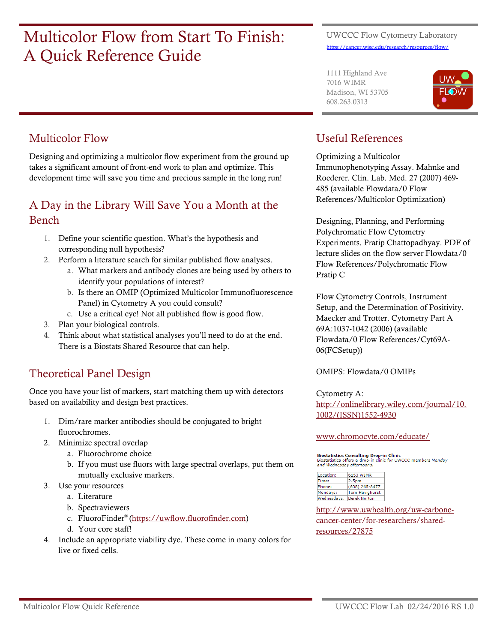# Multicolor Flow from Start To Finish: A Quick Reference Guide

#### UWCCC Flow Cytometry Laboratory <https://cancer.wisc.edu/research/resources/flow/>

1111 Highland Ave 7016 WIMR Madison, WI 53705 608.263.0313



### Multicolor Flow

Designing and optimizing a multicolor flow experiment from the ground up takes a significant amount of front-end work to plan and optimize. This development time will save you time and precious sample in the long run!

### A Day in the Library Will Save You a Month at the Bench

- 1. Define your scientific question. What's the hypothesis and corresponding null hypothesis?
- 2. Perform a literature search for similar published flow analyses.
	- a. What markers and antibody clones are being used by others to identify your populations of interest?
	- b. Is there an OMIP (Optimized Multicolor Immunofluorescence Panel) in Cytometry A you could consult?
	- c. Use a critical eye! Not all published flow is good flow.
- 3. Plan your biological controls.
- 4. Think about what statistical analyses you'll need to do at the end. There is a Biostats Shared Resource that can help.

# Theoretical Panel Design

Once you have your list of markers, start matching them up with detectors based on availability and design best practices.

- 1. Dim/rare marker antibodies should be conjugated to bright fluorochromes.
- 2. Minimize spectral overlap
	- a. Fluorochrome choice
	- b. If you must use fluors with large spectral overlaps, put them on mutually exclusive markers.
- 3. Use your resources
	- a. Literature
	- b. Spectraviewers
	- c. FluoroFinder® [\(https://uwflow.fluorofinder.com\)](https://uwflow.fluorofinder.com/)
	- d. Your core staff!
- 4. Include an appropriate viability dye. These come in many colors for live or fixed cells.

## Useful References

Optimizing a Multicolor Immunophenotyping Assay. Mahnke and Roederer. Clin. Lab. Med. 27 (2007) 469- 485 (available Flowdata/0 Flow References/Multicolor Optimization)

Designing, Planning, and Performing Polychromatic Flow Cytometry Experiments. Pratip Chattopadhyay. PDF of lecture slides on the flow server Flowdata/0 Flow References/Polychromatic Flow Pratip C

Flow Cytometry Controls, Instrument Setup, and the Determination of Positivity. Maecker and Trotter. Cytometry Part A 69A:1037-1042 (2006) (available Flowdata/0 Flow References/Cyt69A-06(FCSetup))

OMIPS: Flowdata/0 OMIPs

Cytometry A:

[http://onlinelibrary.wiley.com/journal/10.](http://onlinelibrary.wiley.com/journal/10.1002/(ISSN)1552-4930) [1002/\(ISSN\)1552-4930](http://onlinelibrary.wiley.com/journal/10.1002/(ISSN)1552-4930)

#### www.chromocyte.com/educate/

**Biostatistics Consulting Drop-in Clinic BOSTALISTIC SUBSTANTIFY OF THE CHIPLE SUBSTANTIFY**<br>Biostatistics offers a drop-in clinic for UWCCC members *Monday*<br>and Wednesday afternoons.

| Location:   | 6153 WIMR             |
|-------------|-----------------------|
| Time:       | $2-5pm$               |
| Phone:      | (608) 265-8477        |
| Mondays:    | <b>Tom Havighurst</b> |
| Wednesdays: | Derek Norton          |

[http://www.uwhealth.org/uw-carbone-](http://www.uwhealth.org/uw-carbone-cancer-center/for-researchers/shared-resources/27875)

[cancer-center/for-researchers/shared](http://www.uwhealth.org/uw-carbone-cancer-center/for-researchers/shared-resources/27875)[resources/27875](http://www.uwhealth.org/uw-carbone-cancer-center/for-researchers/shared-resources/27875)